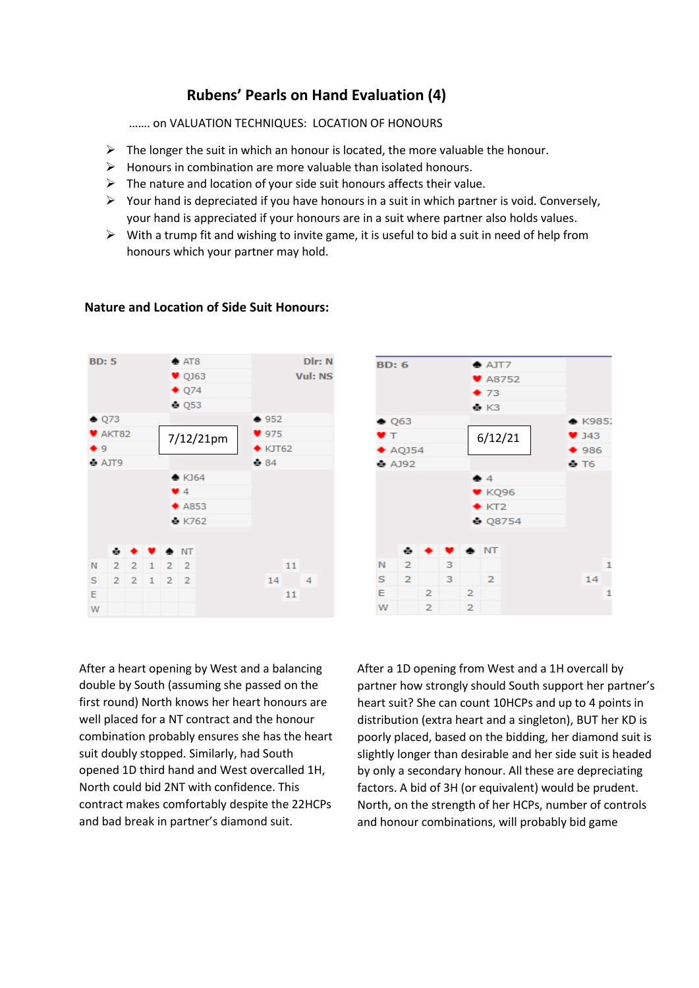# **Rubens' Pearls on Hand Evaluation (4)**

……. on VALUATION TECHNIQUES: LOCATION OF HONOURS

- $\triangleright$  The longer the suit in which an honour is located, the more valuable the honour.
- $\triangleright$  Honours in combination are more valuable than isolated honours.
- $\triangleright$  The nature and location of your side suit honours affects their value.
- $\triangleright$  Your hand is depreciated if you have honours in a suit in which partner is void. Conversely, your hand is appreciated if your honours are in a suit where partner also holds values.
- $\triangleright$  With a trump fit and wishing to invite game, it is useful to bid a suit in need of help from honours which your partner may hold.



## **Nature and Location of Side Suit Honours:**



After a heart opening by West and a balancing double by South (assuming she passed on the first round) North knows her heart honours are well placed for a NT contract and the honour combination probably ensures she has the heart suit doubly stopped. Similarly, had South opened 1D third hand and West overcalled 1H, North could bid 2NT with confidence. This contract makes comfortably despite the 22HCPs and bad break in partner's diamond suit.

After a 1D opening from West and a 1H overcall by partner how strongly should South support her partner's heart suit? She can count 10HCPs and up to 4 points in distribution (extra heart and a singleton), BUT her KD is poorly placed, based on the bidding, her diamond suit is slightly longer than desirable and her side suit is headed by only a secondary honour. All these are depreciating factors. A bid of 3H (or equivalent) would be prudent. North, on the strength of her HCPs, number of controls and honour combinations, will probably bid game